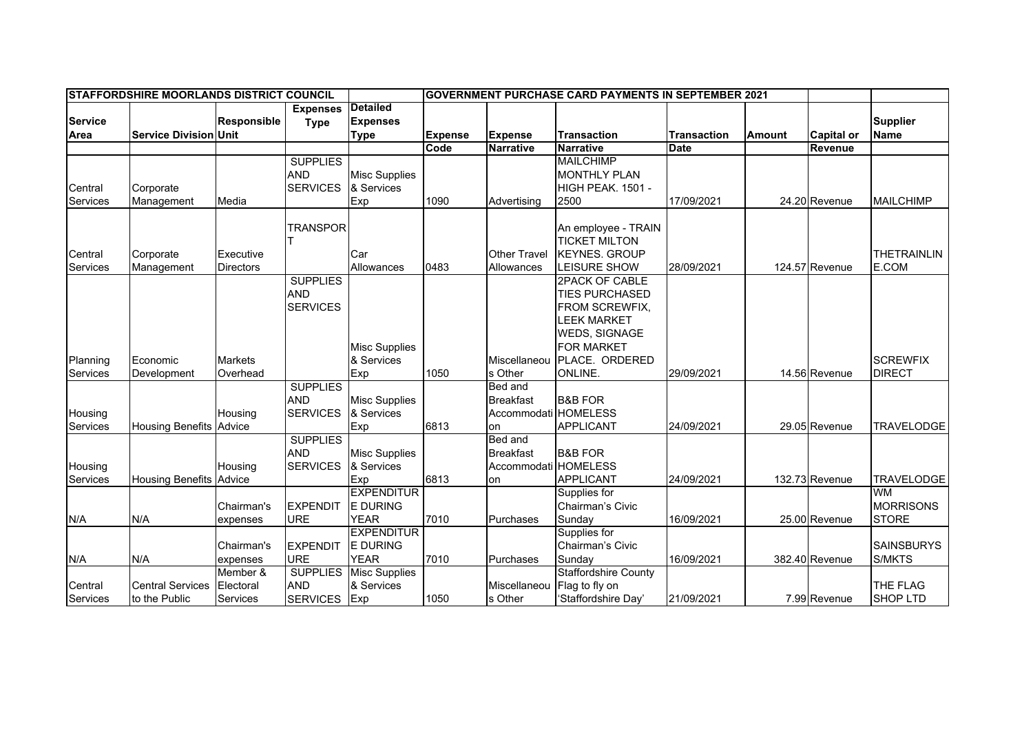|               | <b>IGOVERNMENT PURCHASE CARD PAYMENTS IN SEPTEMBER 2021</b> |                                                                                                                                        |  |  |  |  |
|---------------|-------------------------------------------------------------|----------------------------------------------------------------------------------------------------------------------------------------|--|--|--|--|
|               |                                                             |                                                                                                                                        |  |  |  |  |
|               |                                                             | <b>Supplier</b>                                                                                                                        |  |  |  |  |
| <b>Amount</b> | <b>Capital or</b>                                           | <b>Name</b>                                                                                                                            |  |  |  |  |
|               | Revenue                                                     |                                                                                                                                        |  |  |  |  |
|               |                                                             |                                                                                                                                        |  |  |  |  |
|               |                                                             |                                                                                                                                        |  |  |  |  |
|               |                                                             |                                                                                                                                        |  |  |  |  |
|               |                                                             | <b>MAILCHIMP</b>                                                                                                                       |  |  |  |  |
|               |                                                             |                                                                                                                                        |  |  |  |  |
|               |                                                             |                                                                                                                                        |  |  |  |  |
|               |                                                             | <b>THETRAINLIN</b>                                                                                                                     |  |  |  |  |
|               |                                                             | E.COM                                                                                                                                  |  |  |  |  |
|               |                                                             |                                                                                                                                        |  |  |  |  |
|               |                                                             |                                                                                                                                        |  |  |  |  |
|               |                                                             |                                                                                                                                        |  |  |  |  |
|               |                                                             |                                                                                                                                        |  |  |  |  |
|               |                                                             |                                                                                                                                        |  |  |  |  |
|               |                                                             |                                                                                                                                        |  |  |  |  |
|               |                                                             | <b>SCREWFIX</b>                                                                                                                        |  |  |  |  |
|               |                                                             | <b>DIRECT</b>                                                                                                                          |  |  |  |  |
|               |                                                             |                                                                                                                                        |  |  |  |  |
|               |                                                             |                                                                                                                                        |  |  |  |  |
|               |                                                             |                                                                                                                                        |  |  |  |  |
|               |                                                             | <b>TRAVELODGE</b>                                                                                                                      |  |  |  |  |
|               |                                                             |                                                                                                                                        |  |  |  |  |
|               |                                                             |                                                                                                                                        |  |  |  |  |
|               |                                                             |                                                                                                                                        |  |  |  |  |
|               |                                                             | <b>TRAVELODGE</b>                                                                                                                      |  |  |  |  |
|               |                                                             | <b>WM</b>                                                                                                                              |  |  |  |  |
|               |                                                             | <b>MORRISONS</b>                                                                                                                       |  |  |  |  |
|               |                                                             | <b>STORE</b>                                                                                                                           |  |  |  |  |
|               |                                                             |                                                                                                                                        |  |  |  |  |
|               |                                                             | <b>SAINSBURYS</b>                                                                                                                      |  |  |  |  |
|               |                                                             | S/MKTS                                                                                                                                 |  |  |  |  |
|               |                                                             |                                                                                                                                        |  |  |  |  |
|               |                                                             | THE FLAG                                                                                                                               |  |  |  |  |
|               |                                                             | <b>SHOP LTD</b>                                                                                                                        |  |  |  |  |
|               |                                                             | 24.20 Revenue<br>124.57 Revenue<br>14.56 Revenue<br>29.05 Revenue<br>132.73 Revenue<br>25.00 Revenue<br>382.40 Revenue<br>7.99 Revenue |  |  |  |  |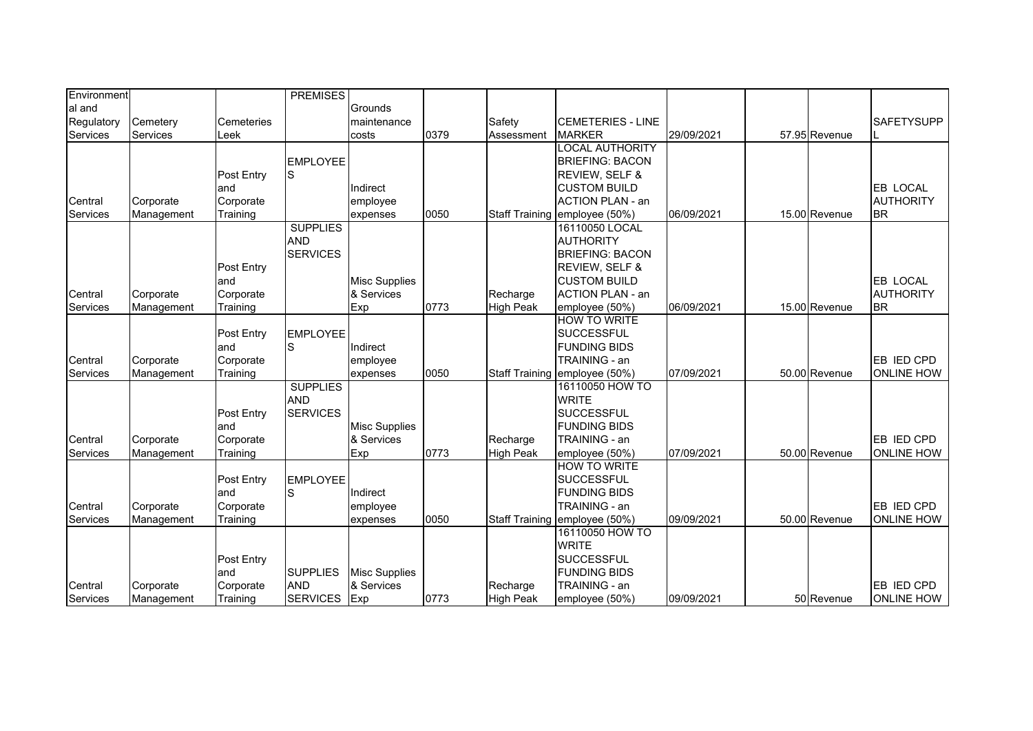| Environment     |            |                   | <b>PREMISES</b> |                      |      |                  |                               |            |               |                   |
|-----------------|------------|-------------------|-----------------|----------------------|------|------------------|-------------------------------|------------|---------------|-------------------|
| al and          |            |                   |                 | Grounds              |      |                  |                               |            |               |                   |
| Regulatory      | Cemetery   | <b>Cemeteries</b> |                 | maintenance          |      | Safety           | <b>CEMETERIES - LINE</b>      |            |               | <b>SAFETYSUPP</b> |
| Services        | Services   | Leek              |                 | costs                | 0379 | Assessment       | <b>MARKER</b>                 | 29/09/2021 | 57.95 Revenue |                   |
|                 |            |                   |                 |                      |      |                  | <b>LOCAL AUTHORITY</b>        |            |               |                   |
|                 |            |                   | <b>EMPLOYEE</b> |                      |      |                  | <b>BRIEFING: BACON</b>        |            |               |                   |
|                 |            | Post Entry        | S               |                      |      |                  | REVIEW, SELF &                |            |               |                   |
|                 |            | and               |                 | Indirect             |      |                  | <b>CUSTOM BUILD</b>           |            |               | EB LOCAL          |
| Central         | Corporate  | Corporate         |                 | employee             |      |                  | <b>ACTION PLAN - an</b>       |            |               | <b>AUTHORITY</b>  |
| Services        | Management | Training          |                 | expenses             | 0050 |                  | Staff Training employee (50%) | 06/09/2021 | 15.00 Revenue | <b>BR</b>         |
|                 |            |                   | <b>SUPPLIES</b> |                      |      |                  | 16110050 LOCAL                |            |               |                   |
|                 |            |                   | <b>AND</b>      |                      |      |                  | <b>AUTHORITY</b>              |            |               |                   |
|                 |            |                   | <b>SERVICES</b> |                      |      |                  | <b>BRIEFING: BACON</b>        |            |               |                   |
|                 |            | Post Entry        |                 |                      |      |                  | REVIEW, SELF &                |            |               |                   |
|                 |            | and               |                 | <b>Misc Supplies</b> |      |                  | <b>CUSTOM BUILD</b>           |            |               | EB LOCAL          |
| Central         | Corporate  | Corporate         |                 | & Services           |      | Recharge         | <b>ACTION PLAN - an</b>       |            |               | <b>AUTHORITY</b>  |
| Services        | Management | Training          |                 | Exp                  | 0773 | <b>High Peak</b> | employee (50%)                | 06/09/2021 | 15.00 Revenue | <b>BR</b>         |
|                 |            |                   |                 |                      |      |                  | <b>HOW TO WRITE</b>           |            |               |                   |
|                 |            | Post Entry        | <b>EMPLOYEE</b> |                      |      |                  | <b>SUCCESSFUL</b>             |            |               |                   |
|                 |            | land              | S               | Indirect             |      |                  | <b>FUNDING BIDS</b>           |            |               |                   |
| Central         | Corporate  | Corporate         |                 | employee             |      |                  | TRAINING - an                 |            |               | EB IED CPD        |
| Services        | Management | Training          |                 | expenses             | 0050 |                  | Staff Training employee (50%) | 07/09/2021 | 50.00 Revenue | <b>ONLINE HOW</b> |
|                 |            |                   | <b>SUPPLIES</b> |                      |      |                  | 16110050 HOW TO               |            |               |                   |
|                 |            |                   | <b>AND</b>      |                      |      |                  | <b>WRITE</b>                  |            |               |                   |
|                 |            | Post Entry        | <b>SERVICES</b> |                      |      |                  | <b>SUCCESSFUL</b>             |            |               |                   |
|                 |            | and               |                 | <b>Misc Supplies</b> |      |                  | <b>FUNDING BIDS</b>           |            |               |                   |
| Central         | Corporate  | Corporate         |                 | & Services           |      | Recharge         | TRAINING - an                 |            |               | EB IED CPD        |
| Services        | Management | Training          |                 | Exp                  | 0773 | <b>High Peak</b> | employee (50%)                | 07/09/2021 | 50.00 Revenue | <b>ONLINE HOW</b> |
|                 |            |                   |                 |                      |      |                  | <b>HOW TO WRITE</b>           |            |               |                   |
|                 |            | Post Entry        | <b>EMPLOYEE</b> |                      |      |                  | <b>SUCCESSFUL</b>             |            |               |                   |
|                 |            | and               | S               | Indirect             |      |                  | <b>FUNDING BIDS</b>           |            |               |                   |
| Central         | Corporate  | Corporate         |                 | employee             |      |                  | TRAINING - an                 |            |               | EB IED CPD        |
| <b>Services</b> | Management | Training          |                 | expenses             | 0050 |                  | Staff Training employee (50%) | 09/09/2021 | 50.00 Revenue | <b>ONLINE HOW</b> |
|                 |            |                   |                 |                      |      |                  | 16110050 HOW TO               |            |               |                   |
|                 |            |                   |                 |                      |      |                  | <b>WRITE</b>                  |            |               |                   |
|                 |            | Post Entry        |                 |                      |      |                  | <b>SUCCESSFUL</b>             |            |               |                   |
|                 |            | land              | <b>SUPPLIES</b> | <b>Misc Supplies</b> |      |                  | <b>FUNDING BIDS</b>           |            |               |                   |
| Central         | Corporate  | Corporate         | <b>AND</b>      | & Services           |      | Recharge         | TRAINING - an                 |            |               | EB IED CPD        |
| Services        | Management | Training          | <b>SERVICES</b> | Exp                  | 0773 | <b>High Peak</b> | employee (50%)                | 09/09/2021 | 50 Revenue    | <b>ONLINE HOW</b> |
|                 |            |                   |                 |                      |      |                  |                               |            |               |                   |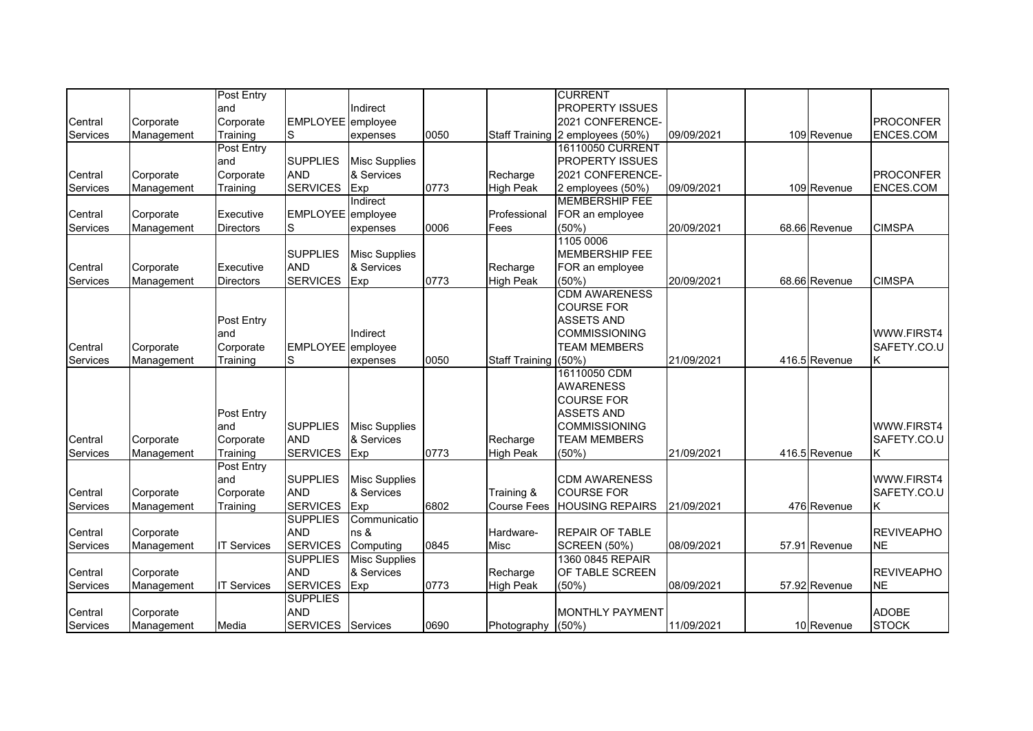|          |            | Post Entry         |                          |                      |      |                       | <b>CURRENT</b>                   |            |               |                   |
|----------|------------|--------------------|--------------------------|----------------------|------|-----------------------|----------------------------------|------------|---------------|-------------------|
|          |            | and                |                          | Indirect             |      |                       | <b>PROPERTY ISSUES</b>           |            |               |                   |
| Central  | Corporate  | Corporate          | EMPLOYEE employee        |                      |      |                       | 2021 CONFERENCE-                 |            |               | <b>PROCONFER</b>  |
| Services | Management | Training           | S                        | expenses             | 0050 |                       | Staff Training 2 employees (50%) | 09/09/2021 | 109 Revenue   | ENCES.COM         |
|          |            | Post Entry         |                          |                      |      |                       | 16110050 CURRENT                 |            |               |                   |
|          |            | and                | <b>SUPPLIES</b>          | <b>Misc Supplies</b> |      |                       | <b>PROPERTY ISSUES</b>           |            |               |                   |
| Central  | Corporate  | Corporate          | <b>AND</b>               | & Services           |      | Recharge              | 2021 CONFERENCE-                 |            |               | <b>PROCONFER</b>  |
| Services | Management | Training           | <b>SERVICES</b>          | Exp                  | 0773 | <b>High Peak</b>      | 2 employees (50%)                | 09/09/2021 | 109 Revenue   | ENCES.COM         |
|          |            |                    |                          | Indirect             |      |                       | <b>MEMBERSHIP FEE</b>            |            |               |                   |
| Central  | Corporate  | Executive          | EMPLOYEE employee        |                      |      | Professional          | FOR an employee                  |            |               |                   |
| Services | Management | <b>Directors</b>   | S                        | expenses             | 0006 | Fees                  | (50%)                            | 20/09/2021 | 68.66 Revenue | <b>CIMSPA</b>     |
|          |            |                    |                          |                      |      |                       | 1105 0006                        |            |               |                   |
|          |            |                    | <b>SUPPLIES</b>          | <b>Misc Supplies</b> |      |                       | <b>MEMBERSHIP FEE</b>            |            |               |                   |
| Central  |            | Executive          | <b>AND</b>               | & Services           |      | Recharge              | FOR an employee                  |            |               |                   |
|          | Corporate  |                    | <b>SERVICES</b>          |                      |      |                       | (50%)                            | 20/09/2021 |               | <b>CIMSPA</b>     |
| Services | Management | <b>Directors</b>   |                          | Exp                  | 0773 | <b>High Peak</b>      | <b>CDM AWARENESS</b>             |            | 68.66 Revenue |                   |
|          |            |                    |                          |                      |      |                       |                                  |            |               |                   |
|          |            |                    |                          |                      |      |                       | <b>COURSE FOR</b>                |            |               |                   |
|          |            | Post Entry         |                          |                      |      |                       | <b>ASSETS AND</b>                |            |               |                   |
|          |            | and                |                          | Indirect             |      |                       | <b>COMMISSIONING</b>             |            |               | WWW.FIRST4        |
| Central  | Corporate  | Corporate          | EMPLOYEE employee        |                      |      |                       | <b>TEAM MEMBERS</b>              |            |               | SAFETY.CO.U       |
| Services | Management | Training           | S                        | expenses             | 0050 | <b>Staff Training</b> | (50%                             | 21/09/2021 | 416.5 Revenue | Κ                 |
|          |            |                    |                          |                      |      |                       | 16110050 CDM                     |            |               |                   |
|          |            |                    |                          |                      |      |                       | <b>AWARENESS</b>                 |            |               |                   |
|          |            |                    |                          |                      |      |                       | <b>COURSE FOR</b>                |            |               |                   |
|          |            | Post Entry         |                          |                      |      |                       | <b>ASSETS AND</b>                |            |               |                   |
|          |            | and                | <b>SUPPLIES</b>          | <b>Misc Supplies</b> |      |                       | <b>COMMISSIONING</b>             |            |               | WWW.FIRST4        |
| Central  | Corporate  | Corporate          | <b>AND</b>               | & Services           |      | Recharge              | <b>TEAM MEMBERS</b>              |            |               | SAFETY.CO.U       |
| Services | Management | Training           | <b>SERVICES</b>          | Exp                  | 0773 | <b>High Peak</b>      | (50%)                            | 21/09/2021 | 416.5 Revenue | Κ                 |
|          |            | Post Entry         |                          |                      |      |                       |                                  |            |               |                   |
|          |            | and                | <b>SUPPLIES</b>          | <b>Misc Supplies</b> |      |                       | <b>CDM AWARENESS</b>             |            |               | WWW.FIRST4        |
| Central  | Corporate  | Corporate          | <b>AND</b>               | & Services           |      | Training &            | <b>COURSE FOR</b>                |            |               | SAFETY.CO.U       |
| Services | Management | Training           | <b>SERVICES</b>          | Exp                  | 6802 | <b>Course Fees</b>    | <b>HOUSING REPAIRS</b>           | 21/09/2021 | 476 Revenue   | κ                 |
|          |            |                    | <b>SUPPLIES</b>          | Communicatio         |      |                       |                                  |            |               |                   |
| Central  | Corporate  |                    | <b>AND</b>               | ns &                 |      | Hardware-             | <b>REPAIR OF TABLE</b>           |            |               | <b>REVIVEAPHO</b> |
| Services | Management | <b>IT Services</b> | <b>SERVICES</b>          | Computing            | 0845 | Misc                  | <b>SCREEN (50%)</b>              | 08/09/2021 | 57.91 Revenue | <b>NE</b>         |
|          |            |                    | <b>SUPPLIES</b>          | <b>Misc Supplies</b> |      |                       | 1360 0845 REPAIR                 |            |               |                   |
| Central  | Corporate  |                    | <b>AND</b>               | & Services           |      | Recharge              | OF TABLE SCREEN                  |            |               | <b>REVIVEAPHO</b> |
| Services |            |                    | <b>SERVICES</b>          |                      | 0773 | <b>High Peak</b>      | (50%)                            | 08/09/2021 | 57.92 Revenue | <b>NE</b>         |
|          | Management | <b>IT Services</b> |                          | Exp                  |      |                       |                                  |            |               |                   |
|          |            |                    | <b>SUPPLIES</b>          |                      |      |                       |                                  |            |               |                   |
| Central  | Corporate  |                    | <b>AND</b>               |                      |      |                       | <b>MONTHLY PAYMENT</b>           |            |               | <b>ADOBE</b>      |
| Services | Management | Media              | <b>SERVICES</b> Services |                      | 0690 | Photography           | (50%                             | 11/09/2021 | 10 Revenue    | <b>STOCK</b>      |